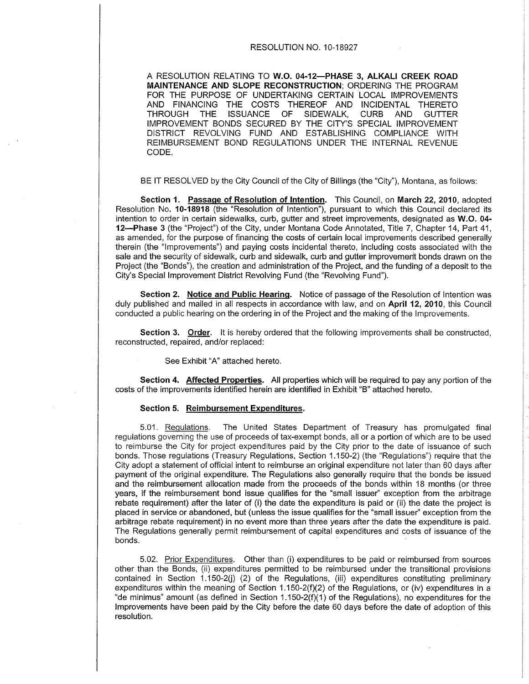#### RESOLUTION NO. 10-18927

A RESOLUTION RELATING TO W.O. 04-12-PHASE 3, ALKALI CREEK ROAD MAINTENANCE AND SLOPE RECONSTRUCTION; ORDERING THE PROGRAM FOR THE PURPOSE OF UNDERTAKING CERTAIN LOCAL IMPROVEMENTS AND FINANCING THE COSTS THEREOF AND INCIDENTAL THERETO THROUGH THE ISSUANCE OF SIDEWALK, CURB AND GUTTER IMPROVEMENT BONDS SECURED BY THE CITY'S SPECIAL ¡MPROVEMENT DISTRICT REVOLVING FUND AND ESTABLISHING COMPLIANCE WITH REIMBURSEMENT BOND REGULATIONS UNDER THE INTERNAL REVENUE CODE.

BE lT RESOLVED by the City Council of the City of Billings (ihe "City"), Montana, as follows:

Section 1. Passage of Resolution of Intention. This Council, on March 22, 2010, adopted Resolution No. 10-18918 (the "Resolution of Intention"), pursuant to which this Council declared its intention to order in certain sidewalks, curb, gutter and street improvements, designated as W.O. 04-12-Phase 3 (the "Project") of the City, under Montana Code Annotated, Title 7, Chapter 14, Part 41, as amended, for the purpose of financing the costs of certain local improvements described generally therein (the "lmprovements") and paying costs incidental thereto, including costs associated with the sale and the security of sidewalk, curb and sidewalk, curb and gutter improvemerit bonds drawn on the Project (the "Bonds"), the creation and administration of the Project, and the funding of a deposit to the City's Special lmprovement District Revolving Fund (the "Revolving Fund").

Section 2. Notice and Public Hearing. Notice of passage of the Resolution of Intention was duly published and mailed in all respects in accordance with law, and on April 12, 2010, this Council conducted a public hearing on the ordering in of the Project and the making of the lmprovements.

Section 3. Order. It is hereby ordered that the following improvements shall be constructed, reconstructed, repaired, and/or replaced :

See Exhibit "A" attached hereto.

Section 4. Affected Properties. All properties which will be required to pay any portion of the costs of the improvements identified herein are identified in Exhibit "B" attached hereto.

#### Section 5, Reimbursement Expenditures,

5.01. Requlations. The United States Depaftment of Treasury has promulgated final regulations governing the use of proceeds of tax-exempt bonds, all or a portion of which are to be used to reimburse the City for project expenditures paid by the City prior to the date of issuance of such bonds. Those regulations (Treasury Regulations, Section 1.150-2) (the "Regulations") require that the City adopt a statement of official intent to reimburse an original expenditure not later than 60 days after payment of the original expenditure. The Regulations also generally require that the bonds be issued and the reimbursement allocation made from the proceeds of the bonds within 18 months (or three years, if the reimbursement bond issue qualifies for the "small issuer" exception from the arbitrage rebate requirement) after the later of (i) the date the expenditure is paid or (ii) the date the project is placed in service or abandoned, but (unless the issue qualifies for the "small issuer" exception from the arbitrage rebate requirement) in no event more than three years after the date the expenditure is paid. The Regulations generally permit reimbursement of capital expenditures and costs of issuance of the bonds.

5.02. Prior Expenditures. Other than (i) expenditures to be paid or reimbursed from sources other than the Bonds, (ii) expenditures permitted to be reimbursed under the transitional provisions contained in Section 1.150-2(i) (2) of the Regulations, (iii) expenditures constituting preliminary expenditures within the meaning of Section 1.150-2(f)(2) of the Regulations, or (iv) expenditures in a "de minimus" amount (as defined in Section  $1.150-2(f)(1)$  of the Regulations), no expenditures for the lmprovements have been paid by the City before the date 60 days before the date of adoption of this resolution.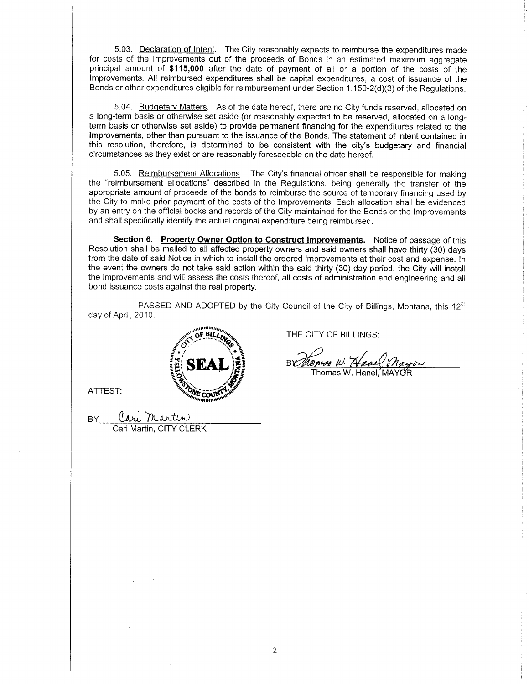5.03. Declaration of Intent. The City reasonably expects to reimburse the expenditures made for costs of the Improvements out of the proceeds of Bonds in an estimated maximum aggregate principal amount of \$115,000 after the date of payment of all or a portion of the costs of the lmprovements. All reimbursed expenditures shall be capital expenditures, a cost of issuance of the Bonds or other expenditures eligible for reimbursement under Section 1.150-2(d)(3) of the Regulations.

5.04. Budgetary Matters. As of the date hereof, there are no City funds reserved, allocated on a long-term basis or othenruise set aside (or reasonably expected to be reserved, allocated on a longterm basis or otherwise set aside) to provide permanent financing for the expenditures related to the lmprovements, other than pursuant to the issuance of the Bonds. The statement of intent contained in this resolution, therefore, is determíned to be consistent with the city's budgetary and financial circumstances as they exist or are reasonably foreseeable on the date hereof.

5.05. Reimbursement Allocations. The City's financial officer shall be responsible for making the "reimbursement allocations" described in the Regulations, being generally the transfer of the appropriate amount of proceeds of the bonds to reimburse the source of temporary financing used by the City to make prior payment of the costs of the lmprovements. Each allocation shall be evldenced by an entry on the official books and records of the City maintained for the Bonds or the lmprovements and shall specifically identify the actual original expenditure being reimbursed.

Section 6. Property Owner Option to Construct Improvements. Notice of passage of this Resolution shall be mailed to all affected property owners and said owners shall have thirty (30) days from the date of said Notice in which to install the ordered improvements at their cost and expense. In the event the owners do not take said action within the said thirty (30) day period, the City will install the improvements and will assess the costs thereof, all costs of administration and engineering and all bond issuance costs against the real property

PASSED AND ADOPTED by the City Council of the City of Billings, Montana, this  $12<sup>th</sup>$ day of April, 2010.



ATTEST:

BY <u>lari Martin</u> lartin, CITY

THE CITY OF BILLINGS:

Temos N. Have Shayor

Thomas W. Hanel.´MAY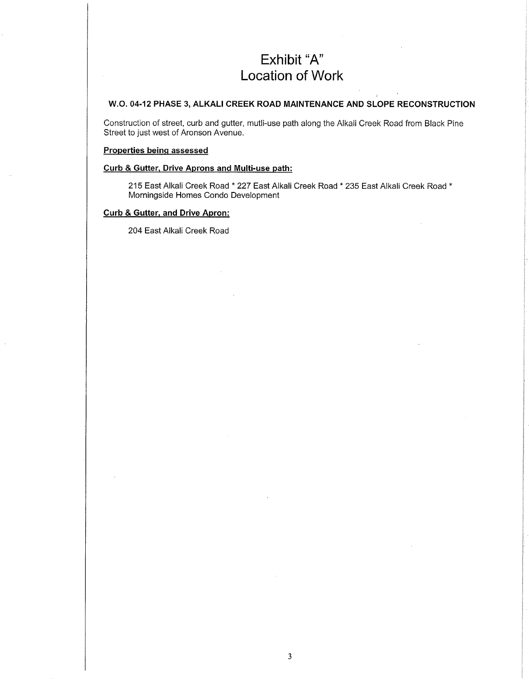# Exhibit "A" Location of Work

#### W.O. 04.12 PHASE 3, ALKALI CREEK ROAD MAINTENANCE AND SLOPE RECONSTRUCTION

Construction of street, curb and gutter, mutli-use path along the Alkali Creek Road from Black Pine Street to just west of Aronson Avenue.

#### Properties beinq assessed

#### Curb & Gutter. Drive Aprons and Multi-use path:

215 East Alkali Creek Road \* 227 East Alkali Creek Road \* 235 East Alkali Creek Road \* Morningside Homes Condo Development

#### Curb & Gutter. and Drive Apron:

204 East Alkali Creek Road